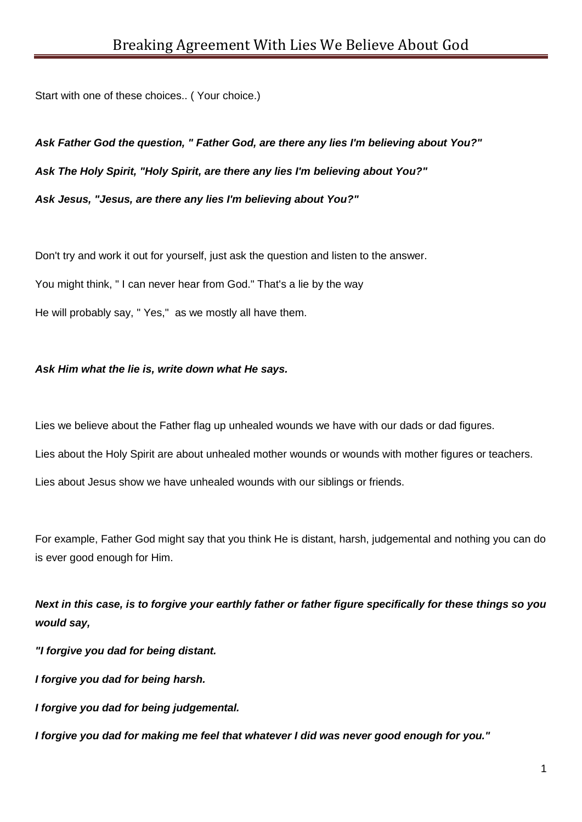Start with one of these choices.. ( Your choice.)

*Ask Father God the question, " Father God, are there any lies I'm believing about You?" Ask The Holy Spirit, "Holy Spirit, are there any lies I'm believing about You?" Ask Jesus, "Jesus, are there any lies I'm believing about You?"*

Don't try and work it out for yourself, just ask the question and listen to the answer. You might think, " I can never hear from God." That's a lie by the way He will probably say, " Yes," as we mostly all have them.

## *Ask Him what the lie is, write down what He says.*

Lies we believe about the Father flag up unhealed wounds we have with our dads or dad figures.

Lies about the Holy Spirit are about unhealed mother wounds or wounds with mother figures or teachers.

Lies about Jesus show we have unhealed wounds with our siblings or friends.

For example, Father God might say that you think He is distant, harsh, judgemental and nothing you can do is ever good enough for Him.

*Next in this case, is to forgive your earthly father or father figure specifically for these things so you would say,*

*"I forgive you dad for being distant.*

*I forgive you dad for being harsh.*

*I forgive you dad for being judgemental.*

*I forgive you dad for making me feel that whatever I did was never good enough for you."*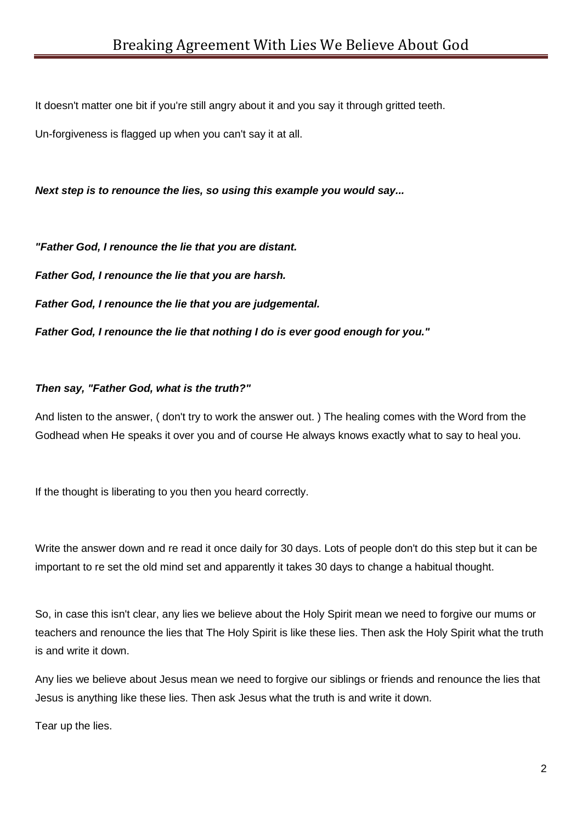It doesn't matter one bit if you're still angry about it and you say it through gritted teeth.

Un-forgiveness is flagged up when you can't say it at all.

*Next step is to renounce the lies, so using this example you would say...*

*"Father God, I renounce the lie that you are distant. Father God, I renounce the lie that you are harsh. Father God, I renounce the lie that you are judgemental. Father God, I renounce the lie that nothing I do is ever good enough for you."*

## *Then say, "Father God, what is the truth?"*

And listen to the answer, ( don't try to work the answer out. ) The healing comes with the Word from the Godhead when He speaks it over you and of course He always knows exactly what to say to heal you.

If the thought is liberating to you then you heard correctly.

Write the answer down and re read it once daily for 30 days. Lots of people don't do this step but it can be important to re set the old mind set and apparently it takes 30 days to change a habitual thought.

So, in case this isn't clear, any lies we believe about the Holy Spirit mean we need to forgive our mums or teachers and renounce the lies that The Holy Spirit is like these lies. Then ask the Holy Spirit what the truth is and write it down.

Any lies we believe about Jesus mean we need to forgive our siblings or friends and renounce the lies that Jesus is anything like these lies. Then ask Jesus what the truth is and write it down.

Tear up the lies.